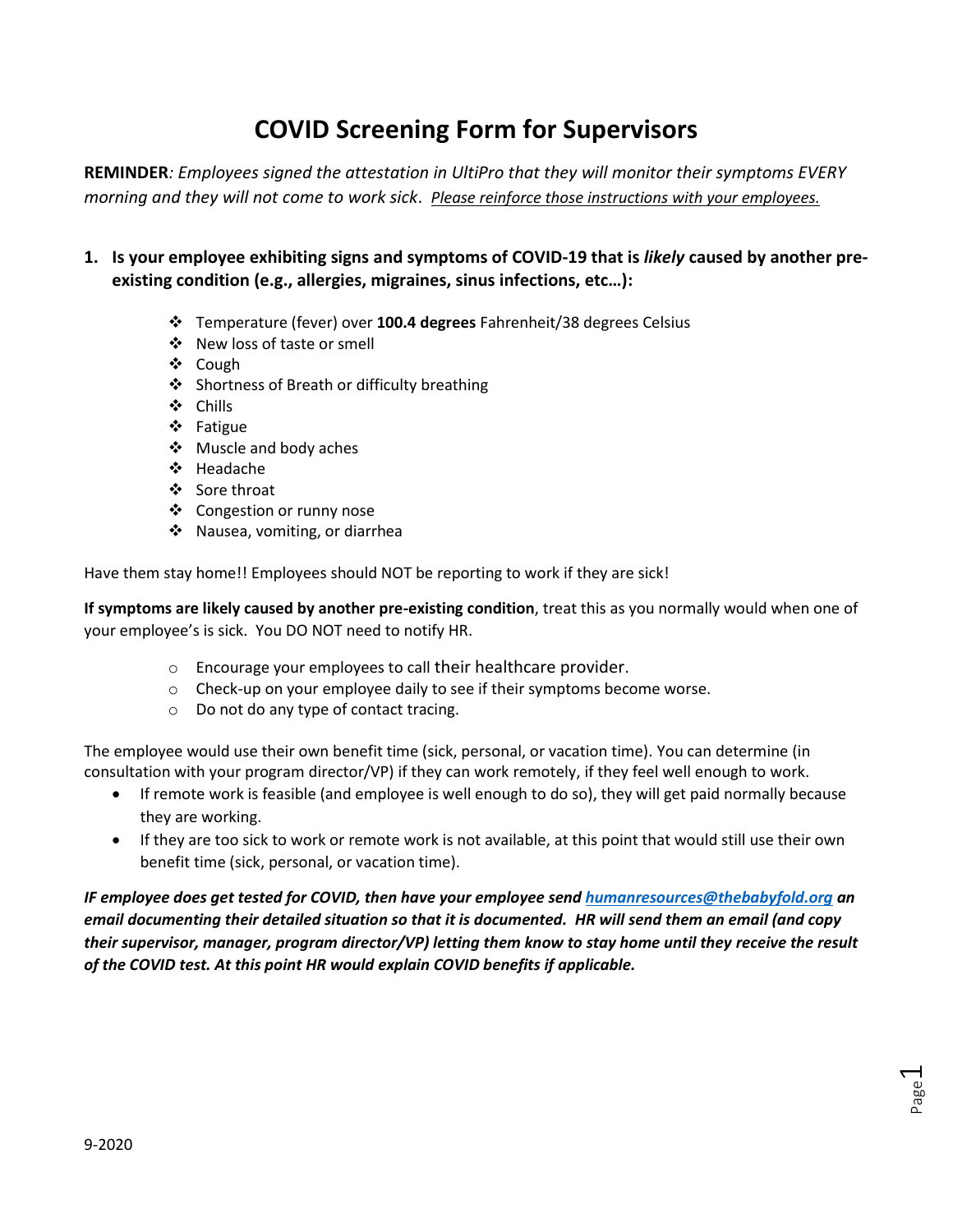# **COVID Screening Form for Supervisors**

**REMINDER***: Employees signed the attestation in UltiPro that they will monitor their symptoms EVERY morning and they will not come to work sick*. *Please reinforce those instructions with your employees.*

- **1. Is your employee exhibiting signs and symptoms of COVID-19 that is** *likely* **caused by another preexisting condition (e.g., allergies, migraines, sinus infections, etc…):** 
	- Temperature (fever) over **100.4 degrees** Fahrenheit/38 degrees Celsius
	- New loss of taste or smell
	- ❖ Cough
	- Shortness of Breath or difficulty breathing
	- Chills
	- Fatigue
	- ❖ Muscle and body aches
	- Headache
	- ❖ Sore throat
	- Congestion or runny nose
	- ❖ Nausea, vomiting, or diarrhea

Have them stay home!! Employees should NOT be reporting to work if they are sick!

**If symptoms are likely caused by another pre-existing condition**, treat this as you normally would when one of your employee's is sick. You DO NOT need to notify HR.

- o Encourage your employees to call their healthcare provider.
- $\circ$  Check-up on your employee daily to see if their symptoms become worse.
- o Do not do any type of contact tracing.

The employee would use their own benefit time (sick, personal, or vacation time). You can determine (in consultation with your program director/VP) if they can work remotely, if they feel well enough to work.

- If remote work is feasible (and employee is well enough to do so), they will get paid normally because they are working.
- If they are too sick to work or remote work is not available, at this point that would still use their own benefit time (sick, personal, or vacation time).

*IF employee does get tested for COVID, then have your employee send [humanresources@thebabyfold.org](mailto:humanresources@thebabyfold.org) an email documenting their detailed situation so that it is documented. HR will send them an email (and copy their supervisor, manager, program director/VP) letting them know to stay home until they receive the result of the COVID test. At this point HR would explain COVID benefits if applicable.*

> Page  $\overline{\phantom{0}}$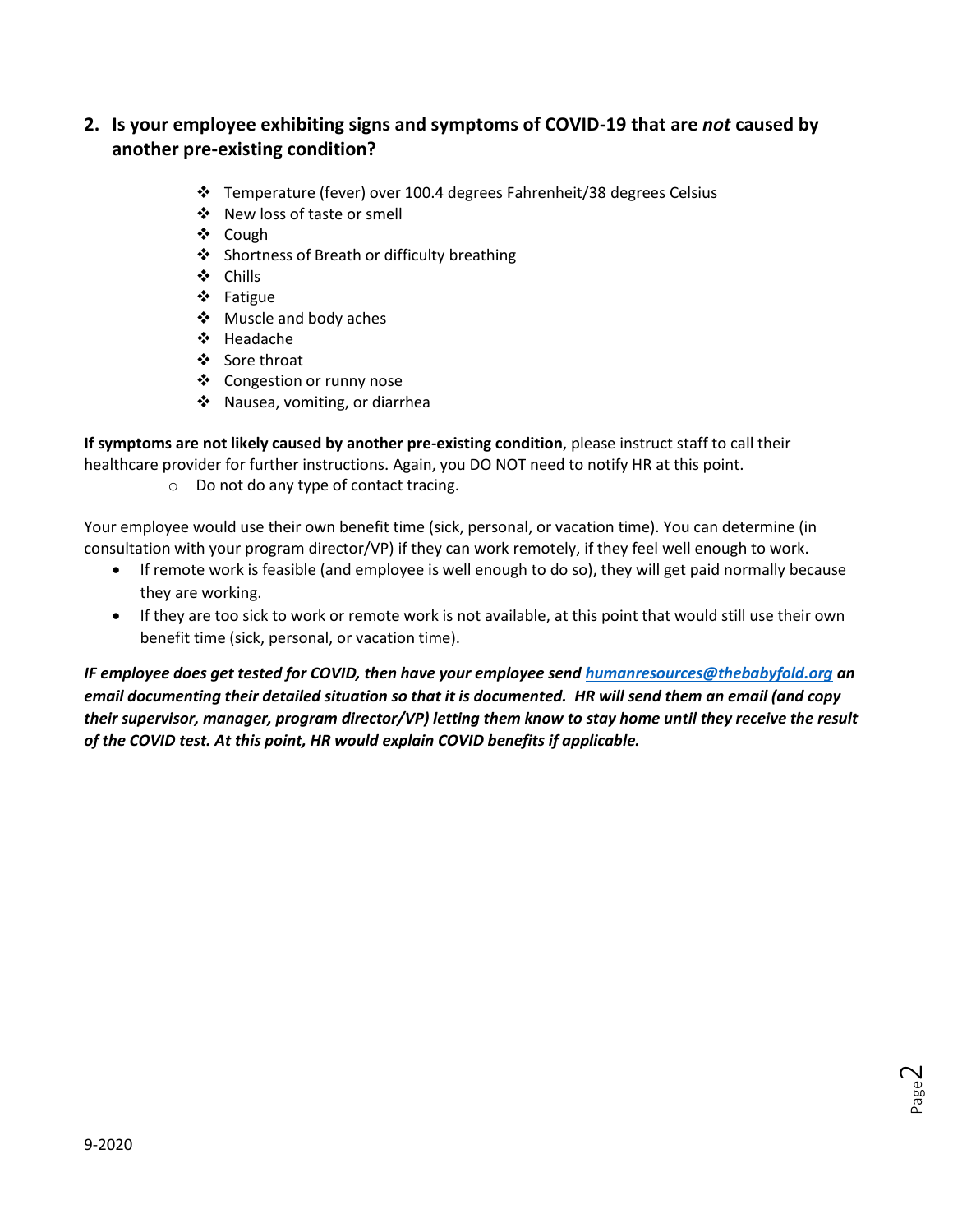# **2. Is your employee exhibiting signs and symptoms of COVID-19 that are** *not* **caused by another pre-existing condition?**

- Temperature (fever) over 100.4 degrees Fahrenheit/38 degrees Celsius
- ❖ New loss of taste or smell
- ❖ Cough
- Shortness of Breath or difficulty breathing
- Chills
- Fatigue
- Muscle and body aches
- Headache
- ❖ Sore throat
- ❖ Congestion or runny nose
- ◆ Nausea, vomiting, or diarrhea

**If symptoms are not likely caused by another pre-existing condition**, please instruct staff to call their healthcare provider for further instructions. Again, you DO NOT need to notify HR at this point.

o Do not do any type of contact tracing.

Your employee would use their own benefit time (sick, personal, or vacation time). You can determine (in consultation with your program director/VP) if they can work remotely, if they feel well enough to work.

- If remote work is feasible (and employee is well enough to do so), they will get paid normally because they are working.
- If they are too sick to work or remote work is not available, at this point that would still use their own benefit time (sick, personal, or vacation time).

*IF employee does get tested for COVID, then have your employee send [humanresources@thebabyfold.org](mailto:humanresources@thebabyfold.org) an email documenting their detailed situation so that it is documented. HR will send them an email (and copy their supervisor, manager, program director/VP) letting them know to stay home until they receive the result of the COVID test. At this point, HR would explain COVID benefits if applicable.*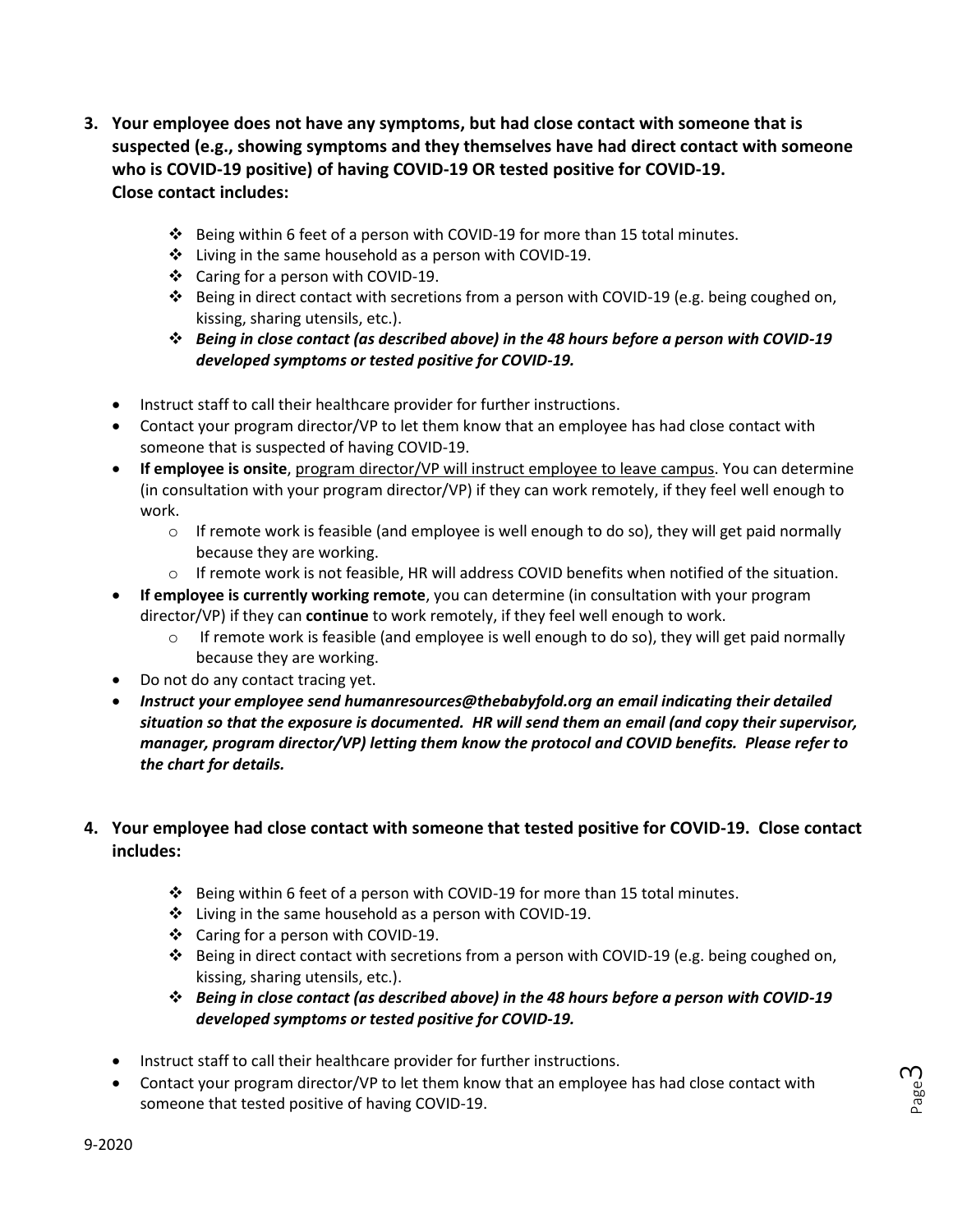- **3. Your employee does not have any symptoms, but had close contact with someone that is suspected (e.g., showing symptoms and they themselves have had direct contact with someone who is COVID-19 positive) of having COVID-19 OR tested positive for COVID-19. Close contact includes:**
	- $\div$  Being within 6 feet of a person with COVID-19 for more than 15 total minutes.
	- Living in the same household as a person with COVID-19.
	- ❖ Caring for a person with COVID-19.
	- ❖ Being in direct contact with secretions from a person with COVID-19 (e.g. being coughed on, kissing, sharing utensils, etc.).
	- *Being in close contact (as described above) in the 48 hours before a person with COVID-19 developed symptoms or tested positive for COVID-19.*
	- Instruct staff to call their healthcare provider for further instructions.
	- Contact your program director/VP to let them know that an employee has had close contact with someone that is suspected of having COVID-19.
	- **If employee is onsite**, program director/VP will instruct employee to leave campus. You can determine (in consultation with your program director/VP) if they can work remotely, if they feel well enough to work.
		- $\circ$  If remote work is feasible (and employee is well enough to do so), they will get paid normally because they are working.
		- o If remote work is not feasible, HR will address COVID benefits when notified of the situation.
	- **If employee is currently working remote**, you can determine (in consultation with your program director/VP) if they can **continue** to work remotely, if they feel well enough to work.
		- $\circ$  If remote work is feasible (and employee is well enough to do so), they will get paid normally because they are working.
	- Do not do any contact tracing yet.
	- *Instruct your employee send [humanresources@thebabyfold.org](mailto:humanresources@thebabyfold.org) an email indicating their detailed situation so that the exposure is documented. HR will send them an email (and copy their supervisor, manager, program director/VP) letting them know the protocol and COVID benefits. Please refer to the chart for details.*

## **4. Your employee had close contact with someone that tested positive for COVID-19. Close contact includes:**

- Being within 6 feet of a person with COVID-19 for more than 15 total minutes.
- Living in the same household as a person with COVID-19.
- ❖ Caring for a person with COVID-19.
- ❖ Being in direct contact with secretions from a person with COVID-19 (e.g. being coughed on, kissing, sharing utensils, etc.).
- *Being in close contact (as described above) in the 48 hours before a person with COVID-19 developed symptoms or tested positive for COVID-19.*

Page ന

- Instruct staff to call their healthcare provider for further instructions.
- Contact your program director/VP to let them know that an employee has had close contact with someone that tested positive of having COVID-19.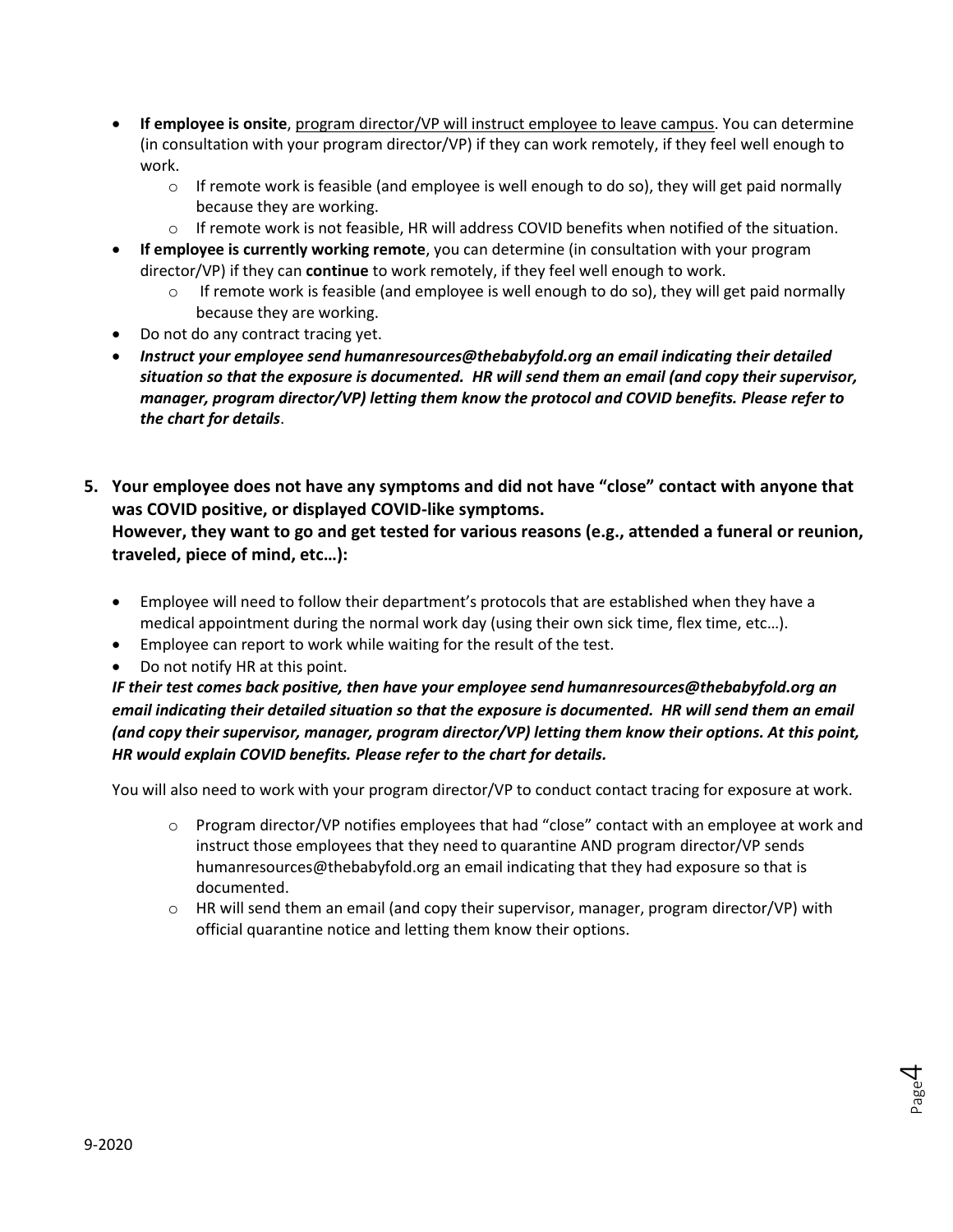- **If employee is onsite**, program director/VP will instruct employee to leave campus. You can determine (in consultation with your program director/VP) if they can work remotely, if they feel well enough to work.
	- $\circ$  If remote work is feasible (and employee is well enough to do so), they will get paid normally because they are working.
	- $\circ$  If remote work is not feasible, HR will address COVID benefits when notified of the situation.
- **If employee is currently working remote**, you can determine (in consultation with your program director/VP) if they can **continue** to work remotely, if they feel well enough to work.
	- $\circ$  If remote work is feasible (and employee is well enough to do so), they will get paid normally because they are working.
- Do not do any contract tracing yet.
- *Instruct your employee send [humanresources@thebabyfold.org](mailto:humanresources@thebabyfold.org) an email indicating their detailed situation so that the exposure is documented. HR will send them an email (and copy their supervisor, manager, program director/VP) letting them know the protocol and COVID benefits. Please refer to the chart for details*.
- **5. Your employee does not have any symptoms and did not have "close" contact with anyone that was COVID positive, or displayed COVID-like symptoms.**

#### **However, they want to go and get tested for various reasons (e.g., attended a funeral or reunion, traveled, piece of mind, etc…):**

- Employee will need to follow their department's protocols that are established when they have a medical appointment during the normal work day (using their own sick time, flex time, etc…).
- Employee can report to work while waiting for the result of the test.
- Do not notify HR at this point.

*IF their test comes back positive, then have your employee send [humanresources@thebabyfold.org](mailto:humanresources@thebabyfold.org) an email indicating their detailed situation so that the exposure is documented. HR will send them an email (and copy their supervisor, manager, program director/VP) letting them know their options. At this point, HR would explain COVID benefits. Please refer to the chart for details.*

You will also need to work with your program director/VP to conduct contact tracing for exposure at work.

- $\circ$  Program director/VP notifies employees that had "close" contact with an employee at work and instruct those employees that they need to quarantine AND program director/VP sends [humanresources@thebabyfold.org](mailto:humanresources@thebabyfold.org) an email indicating that they had exposure so that is documented.
- $\circ$  HR will send them an email (and copy their supervisor, manager, program director/VP) with official quarantine notice and letting them know their options.